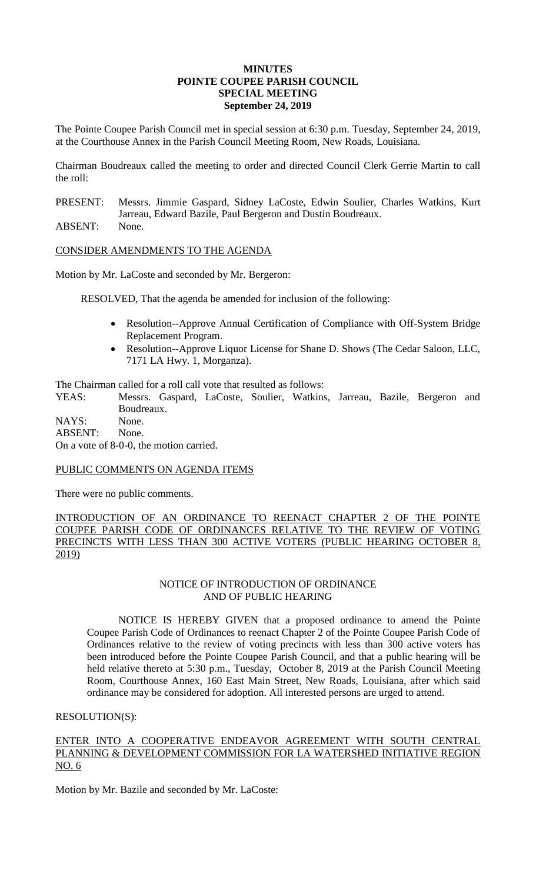#### **MINUTES POINTE COUPEE PARISH COUNCIL SPECIAL MEETING September 24, 2019**

The Pointe Coupee Parish Council met in special session at 6:30 p.m. Tuesday, September 24, 2019, at the Courthouse Annex in the Parish Council Meeting Room, New Roads, Louisiana.

Chairman Boudreaux called the meeting to order and directed Council Clerk Gerrie Martin to call the roll:

- PRESENT: Messrs. Jimmie Gaspard, Sidney LaCoste, Edwin Soulier, Charles Watkins, Kurt Jarreau, Edward Bazile, Paul Bergeron and Dustin Boudreaux.
- ABSENT: None.

# CONSIDER AMENDMENTS TO THE AGENDA

Motion by Mr. LaCoste and seconded by Mr. Bergeron:

RESOLVED, That the agenda be amended for inclusion of the following:

- Resolution--Approve Annual Certification of Compliance with Off-System Bridge Replacement Program.
- Resolution--Approve Liquor License for Shane D. Shows (The Cedar Saloon, LLC, 7171 LA Hwy. 1, Morganza).

The Chairman called for a roll call vote that resulted as follows:

YEAS: Messrs. Gaspard, LaCoste, Soulier, Watkins, Jarreau, Bazile, Bergeron and Boudreaux.

NAYS: None. ABSENT: None.

On a vote of 8-0-0, the motion carried.

## PUBLIC COMMENTS ON AGENDA ITEMS

There were no public comments.

INTRODUCTION OF AN ORDINANCE TO REENACT CHAPTER 2 OF THE POINTE COUPEE PARISH CODE OF ORDINANCES RELATIVE TO THE REVIEW OF VOTING PRECINCTS WITH LESS THAN 300 ACTIVE VOTERS (PUBLIC HEARING OCTOBER 8,  $2019$ 

## NOTICE OF INTRODUCTION OF ORDINANCE AND OF PUBLIC HEARING

NOTICE IS HEREBY GIVEN that a proposed ordinance to amend the Pointe Coupee Parish Code of Ordinances to reenact Chapter 2 of the Pointe Coupee Parish Code of Ordinances relative to the review of voting precincts with less than 300 active voters has been introduced before the Pointe Coupee Parish Council, and that a public hearing will be held relative thereto at 5:30 p.m., Tuesday, October 8, 2019 at the Parish Council Meeting Room, Courthouse Annex, 160 East Main Street, New Roads, Louisiana, after which said ordinance may be considered for adoption. All interested persons are urged to attend.

## RESOLUTION(S):

# ENTER INTO A COOPERATIVE ENDEAVOR AGREEMENT WITH SOUTH CENTRAL PLANNING & DEVELOPMENT COMMISSION FOR LA WATERSHED INITIATIVE REGION NO. 6

Motion by Mr. Bazile and seconded by Mr. LaCoste: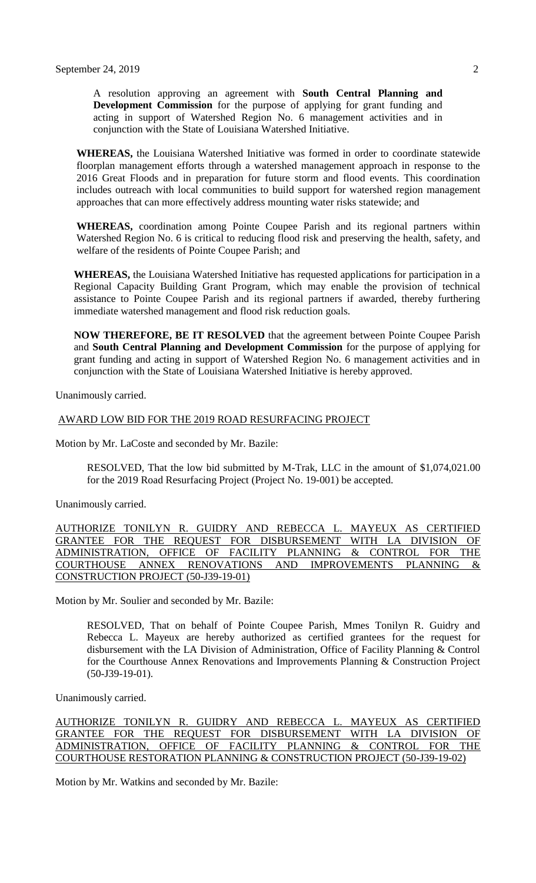A resolution approving an agreement with **South Central Planning and Development Commission** for the purpose of applying for grant funding and acting in support of Watershed Region No. 6 management activities and in conjunction with the State of Louisiana Watershed Initiative.

**WHEREAS,** the Louisiana Watershed Initiative was formed in order to coordinate statewide floorplan management efforts through a watershed management approach in response to the 2016 Great Floods and in preparation for future storm and flood events. This coordination includes outreach with local communities to build support for watershed region management approaches that can more effectively address mounting water risks statewide; and

**WHEREAS,** coordination among Pointe Coupee Parish and its regional partners within Watershed Region No. 6 is critical to reducing flood risk and preserving the health, safety, and welfare of the residents of Pointe Coupee Parish; and

**WHEREAS,** the Louisiana Watershed Initiative has requested applications for participation in a Regional Capacity Building Grant Program, which may enable the provision of technical assistance to Pointe Coupee Parish and its regional partners if awarded, thereby furthering immediate watershed management and flood risk reduction goals.

**NOW THEREFORE, BE IT RESOLVED** that the agreement between Pointe Coupee Parish and **South Central Planning and Development Commission** for the purpose of applying for grant funding and acting in support of Watershed Region No. 6 management activities and in conjunction with the State of Louisiana Watershed Initiative is hereby approved.

Unanimously carried.

#### AWARD LOW BID FOR THE 2019 ROAD RESURFACING PROJECT

Motion by Mr. LaCoste and seconded by Mr. Bazile:

RESOLVED, That the low bid submitted by M-Trak, LLC in the amount of \$1,074,021.00 for the 2019 Road Resurfacing Project (Project No. 19-001) be accepted.

Unanimously carried.

AUTHORIZE TONILYN R. GUIDRY AND REBECCA L. MAYEUX AS CERTIFIED GRANTEE FOR THE REQUEST FOR DISBURSEMENT WITH LA DIVISION OF ADMINISTRATION, OFFICE OF FACILITY PLANNING & CONTROL FOR THE COURTHOUSE ANNEX RENOVATIONS AND IMPROVEMENTS PLANNING & CONSTRUCTION PROJECT (50-J39-19-01)

Motion by Mr. Soulier and seconded by Mr. Bazile:

RESOLVED, That on behalf of Pointe Coupee Parish, Mmes Tonilyn R. Guidry and Rebecca L. Mayeux are hereby authorized as certified grantees for the request for disbursement with the LA Division of Administration, Office of Facility Planning & Control for the Courthouse Annex Renovations and Improvements Planning & Construction Project (50-J39-19-01).

Unanimously carried.

AUTHORIZE TONILYN R. GUIDRY AND REBECCA L. MAYEUX AS CERTIFIED GRANTEE FOR THE REQUEST FOR DISBURSEMENT WITH LA DIVISION OF ADMINISTRATION, OFFICE OF FACILITY PLANNING & CONTROL FOR THE COURTHOUSE RESTORATION PLANNING & CONSTRUCTION PROJECT (50-J39-19-02)

Motion by Mr. Watkins and seconded by Mr. Bazile: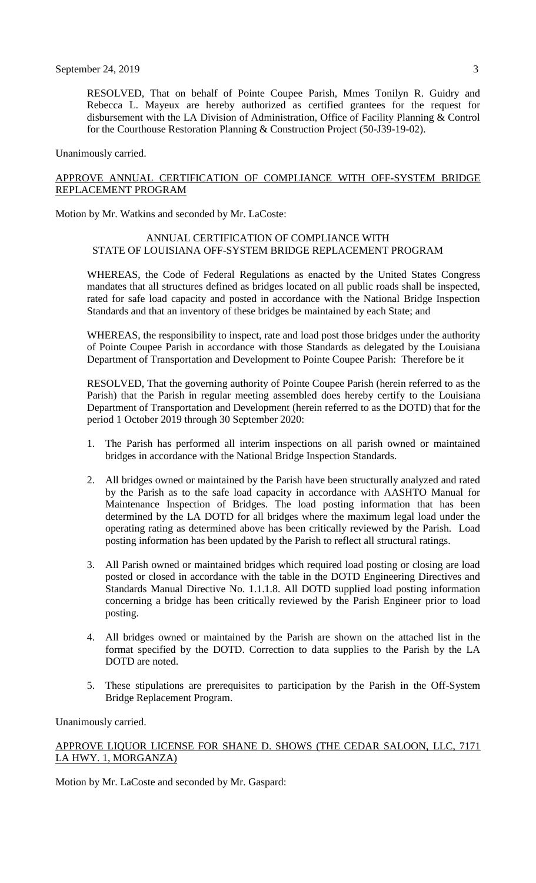RESOLVED, That on behalf of Pointe Coupee Parish, Mmes Tonilyn R. Guidry and Rebecca L. Mayeux are hereby authorized as certified grantees for the request for disbursement with the LA Division of Administration, Office of Facility Planning & Control for the Courthouse Restoration Planning & Construction Project (50-J39-19-02).

Unanimously carried.

## APPROVE ANNUAL CERTIFICATION OF COMPLIANCE WITH OFF-SYSTEM BRIDGE REPLACEMENT PROGRAM

Motion by Mr. Watkins and seconded by Mr. LaCoste:

### ANNUAL CERTIFICATION OF COMPLIANCE WITH STATE OF LOUISIANA OFF-SYSTEM BRIDGE REPLACEMENT PROGRAM

WHEREAS, the Code of Federal Regulations as enacted by the United States Congress mandates that all structures defined as bridges located on all public roads shall be inspected, rated for safe load capacity and posted in accordance with the National Bridge Inspection Standards and that an inventory of these bridges be maintained by each State; and

WHEREAS, the responsibility to inspect, rate and load post those bridges under the authority of Pointe Coupee Parish in accordance with those Standards as delegated by the Louisiana Department of Transportation and Development to Pointe Coupee Parish: Therefore be it

RESOLVED, That the governing authority of Pointe Coupee Parish (herein referred to as the Parish) that the Parish in regular meeting assembled does hereby certify to the Louisiana Department of Transportation and Development (herein referred to as the DOTD) that for the period 1 October 2019 through 30 September 2020:

- 1. The Parish has performed all interim inspections on all parish owned or maintained bridges in accordance with the National Bridge Inspection Standards.
- 2. All bridges owned or maintained by the Parish have been structurally analyzed and rated by the Parish as to the safe load capacity in accordance with AASHTO Manual for Maintenance Inspection of Bridges. The load posting information that has been determined by the LA DOTD for all bridges where the maximum legal load under the operating rating as determined above has been critically reviewed by the Parish. Load posting information has been updated by the Parish to reflect all structural ratings.
- 3. All Parish owned or maintained bridges which required load posting or closing are load posted or closed in accordance with the table in the DOTD Engineering Directives and Standards Manual Directive No. 1.1.1.8. All DOTD supplied load posting information concerning a bridge has been critically reviewed by the Parish Engineer prior to load posting.
- 4. All bridges owned or maintained by the Parish are shown on the attached list in the format specified by the DOTD. Correction to data supplies to the Parish by the LA DOTD are noted.
- 5. These stipulations are prerequisites to participation by the Parish in the Off-System Bridge Replacement Program.

Unanimously carried.

## APPROVE LIQUOR LICENSE FOR SHANE D. SHOWS (THE CEDAR SALOON, LLC, 7171 LA HWY. 1, MORGANZA)

Motion by Mr. LaCoste and seconded by Mr. Gaspard: